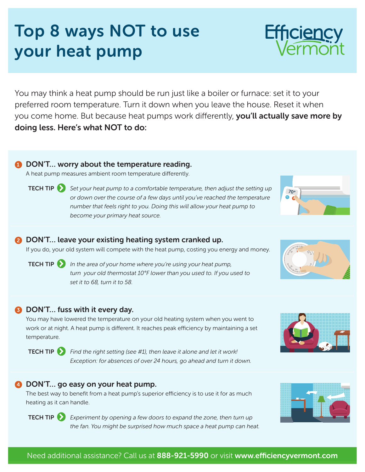# preferred room temperature. Turn it down when you leave the house. Reset it when you come home. But because heat pumps work differently, you'll actually save more by doing less. Here's what NOT to do:

## **1** DON'T... worry about the temperature reading.

A heat pump measures ambient room temperature differently.

TECH TIP *Set your heat pump to a comfortable temperature, then adjust the setting up or down over the course of a few days until you've reached the temperature number that feels right to you. Doing this will allow your heat pump to become your primary heat source.*

You may think a heat pump should be run just like a boiler or furnace: set it to your

### **2** DON'T... leave your existing heating system cranked up.

If you do, your old system will compete with the heat pump, costing you energy and money.

**TECH TIP** *In the area of your home where you're using your heat pump, turn your old thermostat 10°F lower than you used to. If you used to set it to 68, turn it to 58.*

# **3** DON'T... fuss with it every day.

You may have lowered the temperature on your old heating system when you went to work or at night. A heat pump is different. It reaches peak efficiency by maintaining a set temperature.



TECH TIP *Find the right setting (see #1), then leave it alone and let it work! Exception: for absences of over 24 hours, go ahead and turn it down.*

### 4 DON'T... go easy on your heat pump.

The best way to benefit from a heat pump's superior efficiency is to use it for as much heating as it can handle.



TECH TIP *Experiment by opening a few doors to expand the zone, then turn up the fan. You might be surprised how much space a heat pump can heat.*

# Top 8 ways NOT to use your heat pump









70°

 $\mathcal{F}_{\mathcal{O}}$  $60$   $\overline{60}$